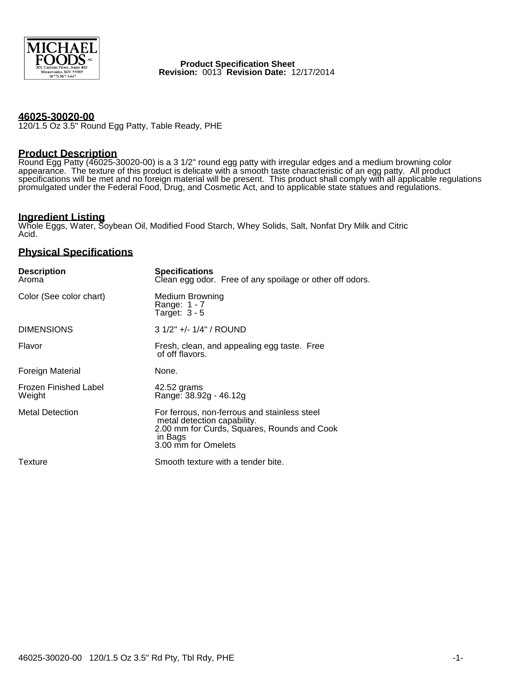

 **Product Specification Sheet Revision:** 0013 **Revision Date:** 12/17/2014

### **46025-30020-00**

120/1.5 Oz 3.5" Round Egg Patty, Table Ready, PHE

### **Product Description**

Round Egg Patty (46025-30020-00) is a 3 1/2" round egg patty with irregular edges and a medium browning color appearance. The texture of this product is delicate with a smooth taste characteristic of an egg patty. All product specifications will be met and no foreign material will be present. This product shall comply with all applicable regulations promulgated under the Federal Food, Drug, and Cosmetic Act, and to applicable state statues and regulations.

# **Ingredient Listing**

Whole Eggs, Water, Soybean Oil, Modified Food Starch, Whey Solids, Salt, Nonfat Dry Milk and Citric Acid.

### **Physical Specifications**

| <b>Description</b><br>Aroma            | <b>Specifications</b><br>Clean egg odor. Free of any spoilage or other off odors.                                                                            |  |  |
|----------------------------------------|--------------------------------------------------------------------------------------------------------------------------------------------------------------|--|--|
| Color (See color chart)                | Medium Browning<br>Range: 1 - 7<br>Target: $3 - 5$                                                                                                           |  |  |
| <b>DIMENSIONS</b>                      | $31/2" +/- 1/4" / ROUND$                                                                                                                                     |  |  |
| Flavor                                 | Fresh, clean, and appealing egg taste. Free<br>of off flavors.                                                                                               |  |  |
| <b>Foreign Material</b>                | None.                                                                                                                                                        |  |  |
| <b>Frozen Finished Label</b><br>Weight | 42.52 grams<br>Range: 38.92g - 46.12g                                                                                                                        |  |  |
| <b>Metal Detection</b>                 | For ferrous, non-ferrous and stainless steel<br>metal detection capability.<br>2.00 mm for Curds, Squares, Rounds and Cook<br>in Bags<br>3.00 mm for Omelets |  |  |
| Texture                                | Smooth texture with a tender bite.                                                                                                                           |  |  |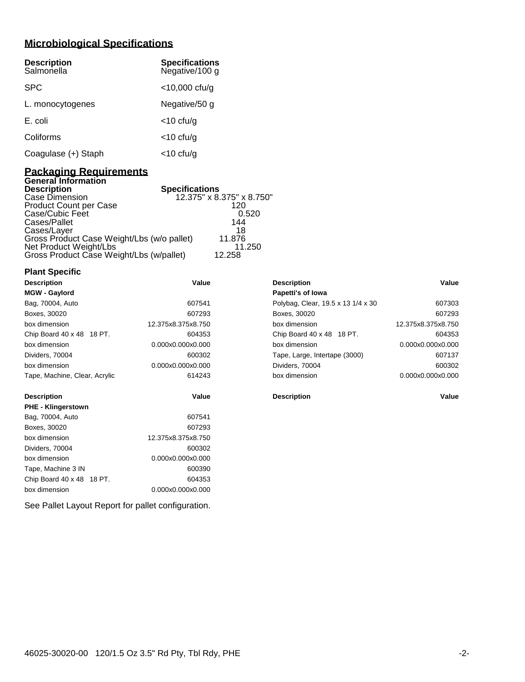# **Microbiological Specifications**

| <b>Description</b><br>Salmonella | <b>Specifications</b><br>Negative/100 g |
|----------------------------------|-----------------------------------------|
| <b>SPC</b>                       | $<$ 10,000 cfu/g                        |
| L. monocytogenes                 | Negative/50 g                           |
| E. coli                          | $<$ 10 cfu/g                            |
| Coliforms                        | $<$ 10 cfu/g                            |
| Coagulase (+) Staph              | <10 cfu/g                               |

### **Packaging Requirements General Information**

| <b>Specifications</b><br><b>Description</b> |                           |
|---------------------------------------------|---------------------------|
| Case Dimension                              | 12.375" x 8.375" x 8.750" |
| Product Count per Case                      | 120                       |
| Case/Cubic Feet                             | 0.520                     |
| Cases/Pallet                                | 144                       |
| Cases/Layer                                 | 18                        |
| Gross Product Case Weight/Lbs (w/o pallet)  | 11.876                    |
| Net Product Weight/Lbs                      | 11.250                    |
| Gross Product Case Weight/Lbs (w/pallet)    | 12.258                    |

### **Plant Specific**

| <b>Description</b>            | Value              | <b>Description</b>                 | Value              |
|-------------------------------|--------------------|------------------------------------|--------------------|
| <b>MGW - Gaylord</b>          |                    | Papetti's of lowa                  |                    |
| Bag, 70004, Auto              | 607541             | Polybag, Clear, 19.5 x 13 1/4 x 30 | 607303             |
| Boxes, 30020                  | 607293             | Boxes, 30020                       | 607293             |
| box dimension                 | 12.375x8.375x8.750 | box dimension                      | 12.375x8.375x8.750 |
| Chip Board 40 x 48 18 PT.     | 604353             | Chip Board 40 x 48 18 PT.          | 604353             |
| box dimension                 | 0.000x0.000x0.000  | box dimension                      | 0.000x0.000x0.000  |
| Dividers, 70004               | 600302             | Tape, Large, Intertape (3000)      | 607137             |
| box dimension                 | 0.000x0.000x0.000  | Dividers, 70004                    | 600302             |
| Tape, Machine, Clear, Acrylic | 614243             | box dimension                      | 0.000x0.000x0.000  |
| <b>Description</b>            | Value              | <b>Description</b>                 | Value              |
| <b>PHE - Klingerstown</b>     |                    |                                    |                    |
| Bag, 70004, Auto              | 607541             |                                    |                    |
| Boxes, 30020                  | 607293             |                                    |                    |
| box dimension                 | 12.375x8.375x8.750 |                                    |                    |
| Dividers, 70004               | 600302             |                                    |                    |
| box dimension                 | 0.000x0.000x0.000  |                                    |                    |
| Tape, Machine 3 IN            | 600390             |                                    |                    |
| Chip Board 40 x 48 18 PT.     | 604353             |                                    |                    |
| box dimension                 | 0.000x0.000x0.000  |                                    |                    |

See Pallet Layout Report for pallet configuration.

| <b>Description</b>                 | Value              |
|------------------------------------|--------------------|
| <b>Papetti's of lowa</b>           |                    |
| Polybag, Clear, 19.5 x 13 1/4 x 30 | 607303             |
| Boxes, 30020                       | 607293             |
| hox dimension                      | 12.375x8.375x8.750 |
| Chip Board 40 x 48 18 PT.          | 604353             |
| hox dimension                      | 0.000x0.000x0.000  |
| Tape, Large, Intertape (3000)      | 607137             |
| Dividers, 70004                    | 600302             |
| hox dimension                      | 0.000x0.000x0.000  |